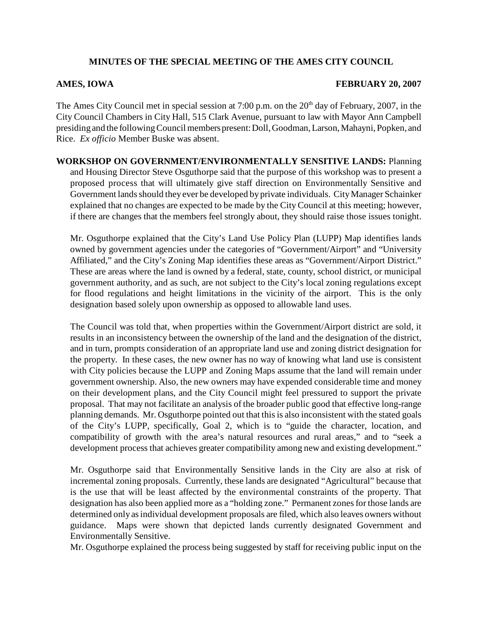## **MINUTES OF THE SPECIAL MEETING OF THE AMES CITY COUNCIL**

## **AMES, IOWA FEBRUARY 20, 2007**

The Ames City Council met in special session at 7:00 p.m. on the  $20<sup>th</sup>$  day of February, 2007, in the City Council Chambers in City Hall, 515 Clark Avenue, pursuant to law with Mayor Ann Campbell presiding and the following Council members present: Doll, Goodman, Larson, Mahayni, Popken, and Rice. *Ex officio* Member Buske was absent.

## **WORKSHOP ON GOVERNMENT/ENVIRONMENTALLY SENSITIVE LANDS:** Planning and Housing Director Steve Osguthorpe said that the purpose of this workshop was to present a proposed process that will ultimately give staff direction on Environmentally Sensitive and Government lands should they ever be developed by private individuals. City Manager Schainker explained that no changes are expected to be made by the City Council at this meeting; however, if there are changes that the members feel strongly about, they should raise those issues tonight.

Mr. Osguthorpe explained that the City's Land Use Policy Plan (LUPP) Map identifies lands owned by government agencies under the categories of "Government/Airport" and "University Affiliated," and the City's Zoning Map identifies these areas as "Government/Airport District." These are areas where the land is owned by a federal, state, county, school district, or municipal government authority, and as such, are not subject to the City's local zoning regulations except for flood regulations and height limitations in the vicinity of the airport. This is the only designation based solely upon ownership as opposed to allowable land uses.

The Council was told that, when properties within the Government/Airport district are sold, it results in an inconsistency between the ownership of the land and the designation of the district, and in turn, prompts consideration of an appropriate land use and zoning district designation for the property. In these cases, the new owner has no way of knowing what land use is consistent with City policies because the LUPP and Zoning Maps assume that the land will remain under government ownership. Also, the new owners may have expended considerable time and money on their development plans, and the City Council might feel pressured to support the private proposal. That may not facilitate an analysis of the broader public good that effective long-range planning demands. Mr. Osguthorpe pointed out that this is also inconsistent with the stated goals of the City's LUPP, specifically, Goal 2, which is to "guide the character, location, and compatibility of growth with the area's natural resources and rural areas," and to "seek a development process that achieves greater compatibility among new and existing development."

Mr. Osguthorpe said that Environmentally Sensitive lands in the City are also at risk of incremental zoning proposals. Currently, these lands are designated "Agricultural" because that is the use that will be least affected by the environmental constraints of the property. That designation has also been applied more as a "holding zone." Permanent zones for those lands are determined only as individual development proposals are filed, which also leaves owners without guidance. Maps were shown that depicted lands currently designated Government and Environmentally Sensitive.

Mr. Osguthorpe explained the process being suggested by staff for receiving public input on the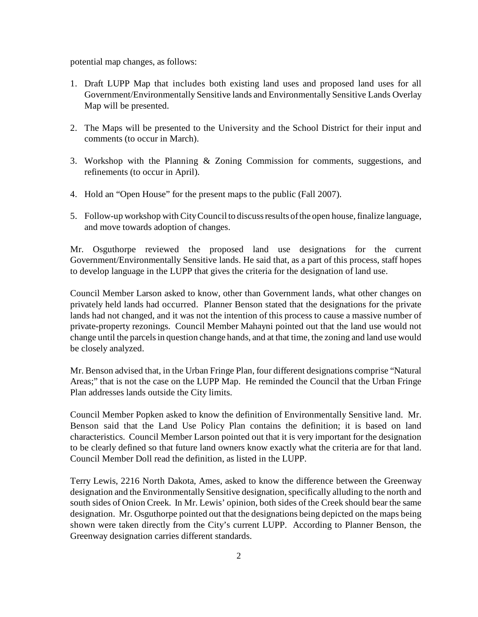potential map changes, as follows:

- 1. Draft LUPP Map that includes both existing land uses and proposed land uses for all Government/Environmentally Sensitive lands and Environmentally Sensitive Lands Overlay Map will be presented.
- 2. The Maps will be presented to the University and the School District for their input and comments (to occur in March).
- 3. Workshop with the Planning & Zoning Commission for comments, suggestions, and refinements (to occur in April).
- 4. Hold an "Open House" for the present maps to the public (Fall 2007).
- 5. Follow-up workshop with City Council to discuss results of the open house, finalize language, and move towards adoption of changes.

Mr. Osguthorpe reviewed the proposed land use designations for the current Government/Environmentally Sensitive lands. He said that, as a part of this process, staff hopes to develop language in the LUPP that gives the criteria for the designation of land use.

Council Member Larson asked to know, other than Government lands, what other changes on privately held lands had occurred. Planner Benson stated that the designations for the private lands had not changed, and it was not the intention of this process to cause a massive number of private-property rezonings. Council Member Mahayni pointed out that the land use would not change until the parcels in question change hands, and at that time, the zoning and land use would be closely analyzed.

Mr. Benson advised that, in the Urban Fringe Plan, four different designations comprise "Natural Areas;" that is not the case on the LUPP Map. He reminded the Council that the Urban Fringe Plan addresses lands outside the City limits.

Council Member Popken asked to know the definition of Environmentally Sensitive land. Mr. Benson said that the Land Use Policy Plan contains the definition; it is based on land characteristics. Council Member Larson pointed out that it is very important for the designation to be clearly defined so that future land owners know exactly what the criteria are for that land. Council Member Doll read the definition, as listed in the LUPP.

Terry Lewis, 2216 North Dakota, Ames, asked to know the difference between the Greenway designation and the Environmentally Sensitive designation, specifically alluding to the north and south sides of Onion Creek. In Mr. Lewis' opinion, both sides of the Creek should bear the same designation. Mr. Osguthorpe pointed out that the designations being depicted on the maps being shown were taken directly from the City's current LUPP. According to Planner Benson, the Greenway designation carries different standards.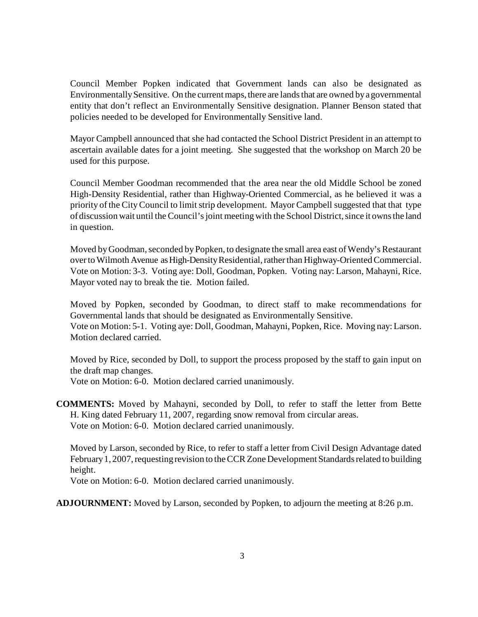Council Member Popken indicated that Government lands can also be designated as Environmentally Sensitive. On the current maps, there are lands that are owned by a governmental entity that don't reflect an Environmentally Sensitive designation. Planner Benson stated that policies needed to be developed for Environmentally Sensitive land.

Mayor Campbell announced that she had contacted the School District President in an attempt to ascertain available dates for a joint meeting. She suggested that the workshop on March 20 be used for this purpose.

Council Member Goodman recommended that the area near the old Middle School be zoned High-Density Residential, rather than Highway-Oriented Commercial, as he believed it was a priority of the City Council to limit strip development. Mayor Campbell suggested that that type of discussion wait until the Council's joint meeting with the School District, since it owns the land in question.

Moved by Goodman, seconded by Popken, to designate the small area east of Wendy's Restaurant over to Wilmoth Avenue as High-Density Residential, rather than Highway-Oriented Commercial. Vote on Motion: 3-3. Voting aye: Doll, Goodman, Popken. Voting nay: Larson, Mahayni, Rice. Mayor voted nay to break the tie. Motion failed.

Moved by Popken, seconded by Goodman, to direct staff to make recommendations for Governmental lands that should be designated as Environmentally Sensitive. Vote on Motion: 5-1. Voting aye: Doll, Goodman, Mahayni, Popken, Rice. Moving nay: Larson.

Motion declared carried.

Moved by Rice, seconded by Doll, to support the process proposed by the staff to gain input on the draft map changes. Vote on Motion: 6-0. Motion declared carried unanimously.

**COMMENTS:** Moved by Mahayni, seconded by Doll, to refer to staff the letter from Bette H. King dated February 11, 2007, regarding snow removal from circular areas. Vote on Motion: 6-0. Motion declared carried unanimously.

Moved by Larson, seconded by Rice, to refer to staff a letter from Civil Design Advantage dated February 1, 2007, requesting revision to the CCR Zone Development Standards related to building height.

Vote on Motion: 6-0. Motion declared carried unanimously.

**ADJOURNMENT:** Moved by Larson, seconded by Popken, to adjourn the meeting at 8:26 p.m.